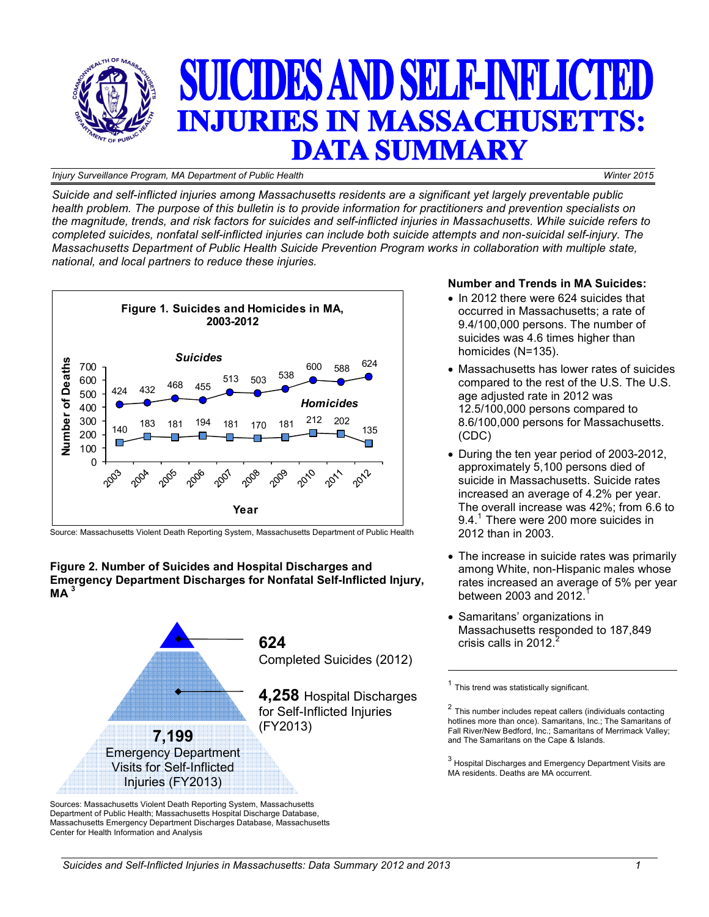

#### *Injury Surveillance Program, MA Department of Public Health Winter 2015*

*Suicide and self-inflicted injuries among Massachusetts residents are a significant yet largely preventable public health problem. The purpose of this bulletin is to provide information for practitioners and prevention specialists on the magnitude, trends, and risk factors for suicides and self-inflicted injuries in Massachusetts. While suicide refers to completed suicides, nonfatal self-inflicted injuries can include both suicide attempts and non-suicidal self-injury. The Massachusetts Department of Public Health Suicide Prevention Program works in collaboration with multiple state, national, and local partners to reduce these injuries.* 



Source: Massachusetts Violent Death Reporting System, Massachusetts Department of Public Health





Sources: Massachusetts Violent Death Reporting System, Massachusetts Department of Public Health; Massachusetts Hospital Discharge Database, Massachusetts Emergency Department Discharges Database, Massachusetts Center for Health Information and Analysis

## **Number and Trends in MA Suicides:**

- In 2012 there were 624 suicides that occurred in Massachusetts; a rate of 9.4/100,000 persons. The number of suicides was 4.6 times higher than homicides (N=135).
- Massachusetts has lower rates of suicides compared to the rest of the U.S. The U.S. age adjusted rate in 2012 was 12.5/100,000 persons compared to 8.6/100,000 persons for Massachusetts. (CDC)
- During the ten year period of 2003-2012, approximately 5,100 persons died of suicide in Massachusetts. Suicide rates increased an average of 4.2% per year. The overall increase was 42%; from 6.6 to 9.4.<sup>1</sup> There were 200 more suicides in 2012 than in 2003.
- The increase in suicide rates was primarily among White, non-Hispanic males whose rates increased an average of 5% per year between  $2003$  and  $2012$ .
- Samaritans' organizations in Massachusetts responded to 187,849 crisis calls in 2012.

 $<sup>1</sup>$  This trend was statistically significant.</sup>

 $2$  This number includes repeat callers (individuals contacting hotlines more than once). Samaritans, Inc.; The Samaritans of Fall River/New Bedford, Inc.; Samaritans of Merrimack Valley; and The Samaritans on the Cape & Islands.

 $3$  Hospital Discharges and Emergency Department Visits are MA residents. Deaths are MA occurrent.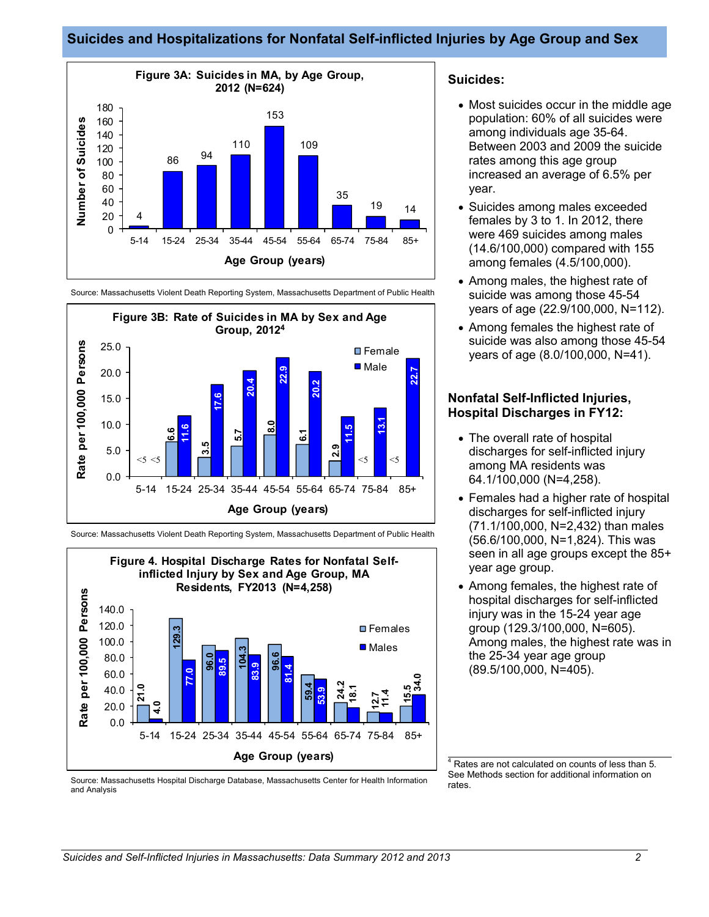## **Suicides and Hospitalizations for Nonfatal Self-inflicted Injuries by Age Group and Sex**







Source: Massachusetts Violent Death Reporting System, Massachusetts Department of Public Health



Source: Massachusetts Hospital Discharge Database, Massachusetts Center for Health Information and Analysis

#### **Suicides:**

- Most suicides occur in the middle age population: 60% of all suicides were among individuals age 35-64. Between 2003 and 2009 the suicide rates among this age group increased an average of 6.5% per year.
- Suicides among males exceeded females by 3 to 1. In 2012, there were 469 suicides among males (14.6/100,000) compared with 155 among females (4.5/100,000).
- Among males, the highest rate of suicide was among those 45-54 years of age (22.9/100,000, N=112).
- Among females the highest rate of suicide was also among those 45-54 years of age (8.0/100,000, N=41).

#### **Nonfatal Self-Inflicted Injuries, Hospital Discharges in FY12:**

- The overall rate of hospital discharges for self-inflicted injury among MA residents was 64.1/100,000 (N=4,258).
- Females had a higher rate of hospital discharges for self-inflicted injury (71.1/100,000, N=2,432) than males (56.6/100,000, N=1,824). This was seen in all age groups except the 85+ year age group.
- Among females, the highest rate of hospital discharges for self-inflicted injury was in the 15-24 year age group (129.3/100,000, N=605). Among males, the highest rate was in the 25-34 year age group (89.5/100,000, N=405).

4 Rates are not calculated on counts of less than 5. See Methods section for additional information on rates.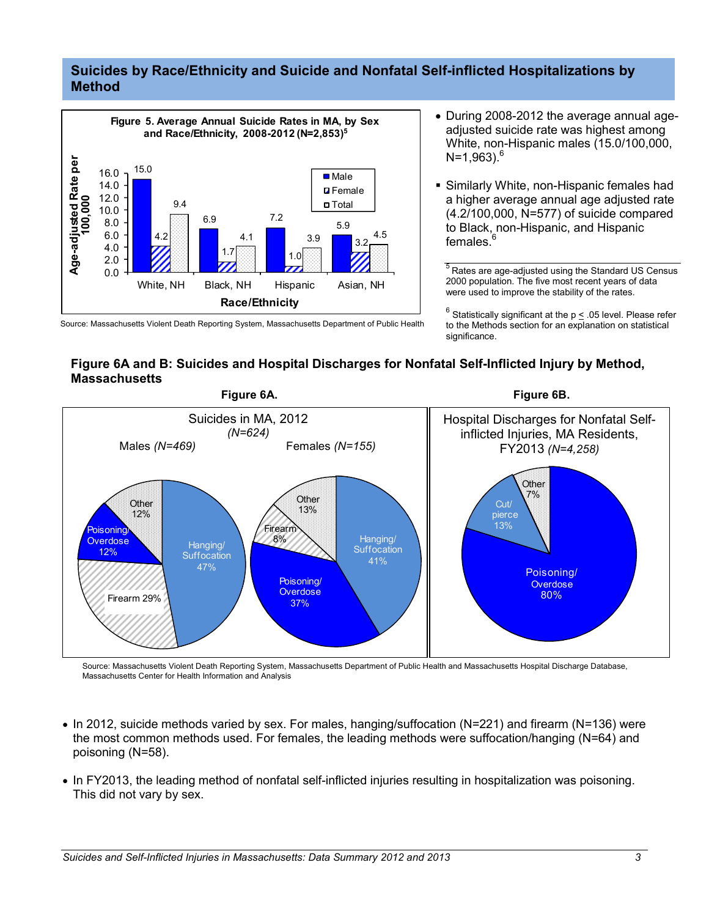## **Suicides by Race/Ethnicity and Suicide and Nonfatal Self-inflicted Hospitalizations by Method**



• During 2008-2012 the average annual ageadjusted suicide rate was highest among White, non-Hispanic males (15.0/100,000,  $N=1.963$ <sup>6</sup>

 Similarly White, non-Hispanic females had a higher average annual age adjusted rate (4.2/100,000, N=577) of suicide compared to Black, non-Hispanic, and Hispanic females.

 $\frac{5}{6}$ Rates are age-adjusted using the Standard US Census 2000 population. The five most recent years of data were used to improve the stability of the rates.

 $^6$  Statistically significant at the p  $\leq$  .05 level. Please refer to the Methods section for an explanation on statistical significance.

## **Figure 6A and B: Suicides and Hospital Discharges for Nonfatal Self-Inflicted Injury by Method, Massachusetts**



Source: Massachusetts Violent Death Reporting System, Massachusetts Department of Public Health and Massachusetts Hospital Discharge Database, Massachusetts Center for Health Information and Analysis

- In 2012, suicide methods varied by sex. For males, hanging/suffocation (N=221) and firearm (N=136) were the most common methods used. For females, the leading methods were suffocation/hanging (N=64) and poisoning (N=58).
- In FY2013, the leading method of nonfatal self-inflicted injuries resulting in hospitalization was poisoning. This did not vary by sex.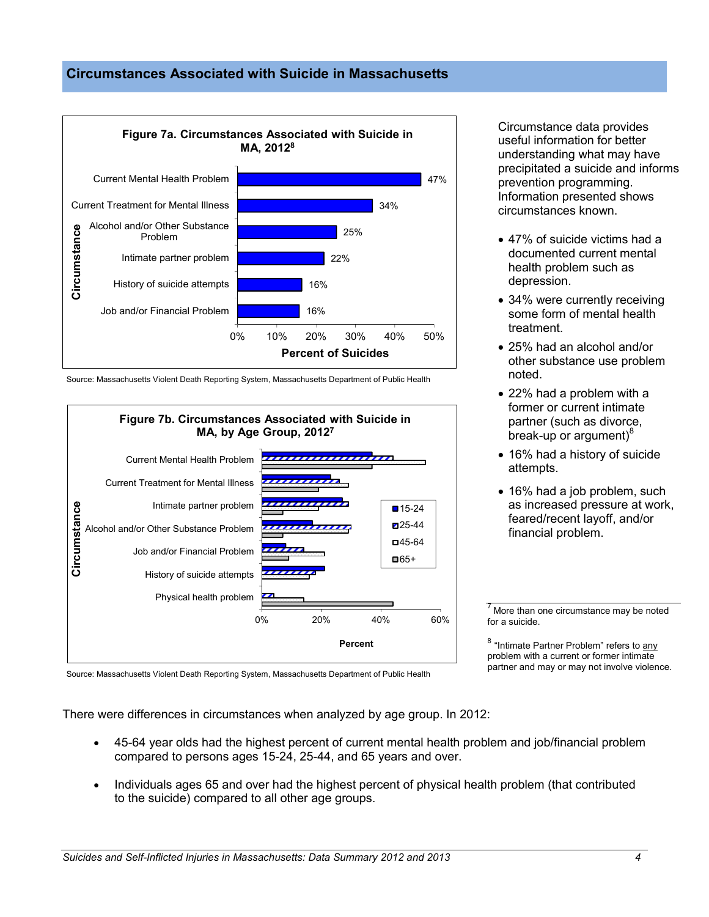## **Circumstances Associated with Suicide in Massachusetts**



Source: Massachusetts Violent Death Reporting System, Massachusetts Department of Public Health



Circumstance data provides useful information for better understanding what may have precipitated a suicide and informs prevention programming. Information presented shows circumstances known.

- 47% of suicide victims had a documented current mental health problem such as depression.
- 34% were currently receiving some form of mental health treatment.
- 25% had an alcohol and/or other substance use problem noted.
- 22% had a problem with a former or current intimate partner (such as divorce, break-up or argument) $8<sup>8</sup>$
- 16% had a history of suicide attempts.
- 16% had a job problem, such as increased pressure at work, feared/recent layoff, and/or financial problem.

 $<sup>7</sup>$  More than one circumstance may be noted</sup> for a suicide.

<sup>8</sup> "Intimate Partner Problem" refers to any problem with a current or former intimate partner and may or may not involve violence.

Source: Massachusetts Violent Death Reporting System, Massachusetts Department of Public Health

There were differences in circumstances when analyzed by age group. In 2012:

- 45-64 year olds had the highest percent of current mental health problem and job/financial problem compared to persons ages 15-24, 25-44, and 65 years and over.
- Individuals ages 65 and over had the highest percent of physical health problem (that contributed to the suicide) compared to all other age groups.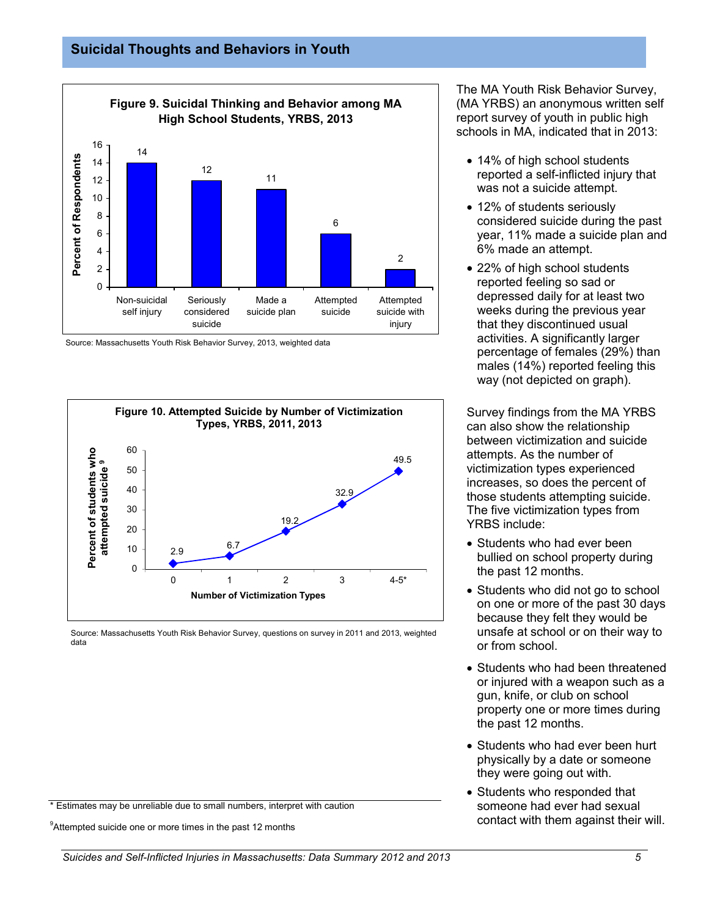

Source: Massachusetts Youth Risk Behavior Survey, 2013, weighted data



Source: Massachusetts Youth Risk Behavior Survey, questions on survey in 2011 and 2013, weighted data

\* Estimates may be unreliable due to small numbers, interpret with caution

<sup>9</sup>Attempted suicide one or more times in the past 12 months

The MA Youth Risk Behavior Survey, (MA YRBS) an anonymous written self report survey of youth in public high schools in MA, indicated that in 2013:

- 14% of high school students reported a self-inflicted injury that was not a suicide attempt.
- 12% of students seriously considered suicide during the past year, 11% made a suicide plan and 6% made an attempt.
- 22% of high school students reported feeling so sad or depressed daily for at least two weeks during the previous year that they discontinued usual activities. A significantly larger percentage of females (29%) than males (14%) reported feeling this way (not depicted on graph).

Survey findings from the MA YRBS can also show the relationship between victimization and suicide attempts. As the number of victimization types experienced increases, so does the percent of those students attempting suicide. The five victimization types from YRBS include:

- Students who had ever been bullied on school property during the past 12 months.
- Students who did not go to school on one or more of the past 30 days because they felt they would be unsafe at school or on their way to or from school.
- Students who had been threatened or injured with a weapon such as a gun, knife, or club on school property one or more times during the past 12 months.
- Students who had ever been hurt physically by a date or someone they were going out with.
- Students who responded that someone had ever had sexual contact with them against their will.